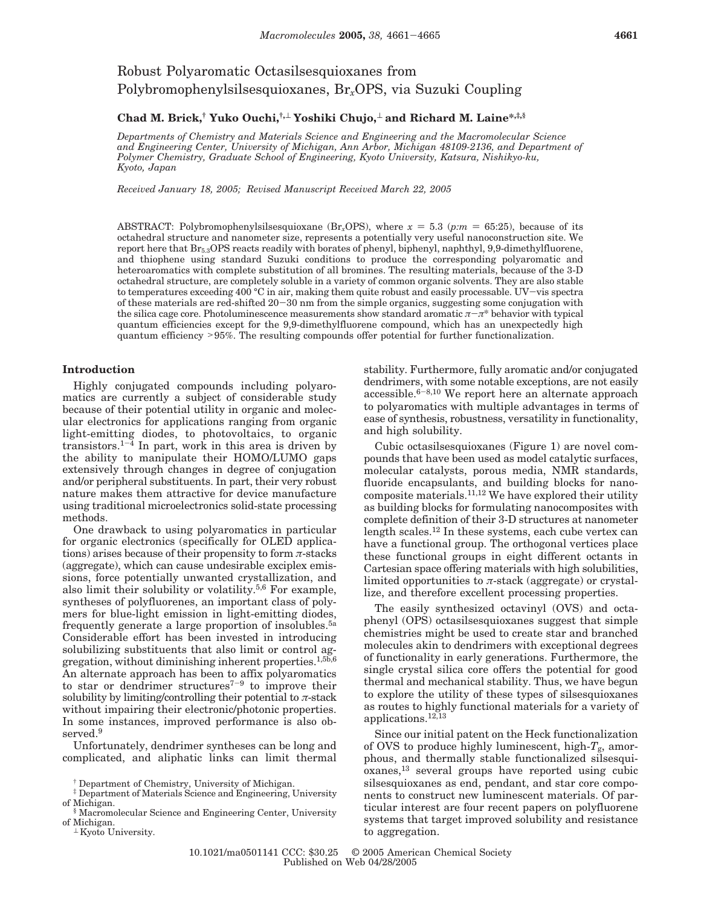# Robust Polyaromatic Octasilsesquioxanes from Polybromophenylsilsesquioxanes, Br*x*OPS, via Suzuki Coupling

## **Chad M. Brick,† Yuko Ouchi,†,**<sup>⊥</sup> **Yoshiki Chujo,**<sup>⊥</sup> **and Richard M. Laine\*,‡,§**

*Departments of Chemistry and Materials Science and Engineering and the Macromolecular Science and Engineering Center, University of Michigan, Ann Arbor, Michigan 48109-2136, and Department of Polymer Chemistry, Graduate School of Engineering, Kyoto University, Katsura, Nishikyo-ku, Kyoto, Japan*

*Received January 18, 2005; Revised Manuscript Received March 22, 2005*

ABSTRACT: Polybromophenylsilsesquioxane (Br<sub>x</sub>OPS), where  $x = 5.3$  (*p:m* = 65:25), because of its octahedral structure and nanometer size, represents a potentially very useful nanoconstruction site. We report here that Br5.3OPS reacts readily with borates of phenyl, biphenyl, naphthyl, 9,9-dimethylfluorene, and thiophene using standard Suzuki conditions to produce the corresponding polyaromatic and heteroaromatics with complete substitution of all bromines. The resulting materials, because of the 3-D octahedral structure, are completely soluble in a variety of common organic solvents. They are also stable to temperatures exceeding 400 °C in air, making them quite robust and easily processable. UV–vis spectra<br>of these materials are red-shifted 20–30 nm from the simple organics, suggesting some conjugation with of these materials are red-shifted 20–30 nm from the simple organics, suggesting some conjugation with<br>the silica cage core. Photoluminescence measurements show standard aromatic  $\pi$ – $\pi^*$  behavior with typical the silica cage core. Photoluminescence measurements show standard aromatic *<sup>π</sup>*-*π*\* behavior with typical quantum efficiencies except for the 9,9-dimethylfluorene compound, which has an unexpectedly high quantum efficiency >95%. The resulting compounds offer potential for further functionalization.

## **Introduction**

Highly conjugated compounds including polyaromatics are currently a subject of considerable study because of their potential utility in organic and molecular electronics for applications ranging from organic light-emitting diodes, to photovoltaics, to organic transistors.<sup>1-4</sup> In part, work in this area is driven by the ability to manipulate their HOMO/LUMO gaps extensively through changes in degree of conjugation and/or peripheral substituents. In part, their very robust nature makes them attractive for device manufacture using traditional microelectronics solid-state processing methods.

One drawback to using polyaromatics in particular for organic electronics (specifically for OLED applications) arises because of their propensity to form *π*-stacks (aggregate), which can cause undesirable exciplex emissions, force potentially unwanted crystallization, and also limit their solubility or volatility.5,6 For example, syntheses of polyfluorenes, an important class of polymers for blue-light emission in light-emitting diodes, frequently generate a large proportion of insolubles.5a Considerable effort has been invested in introducing solubilizing substituents that also limit or control aggregation, without diminishing inherent properties.1,5b,6 An alternate approach has been to affix polyaromatics to star or dendrimer structures<sup> $7-9$ </sup> to improve their solubility by limiting/controlling their potential to  $\pi$ -stack without impairing their electronic/photonic properties. In some instances, improved performance is also observed.<sup>9</sup>

Unfortunately, dendrimer syntheses can be long and complicated, and aliphatic links can limit thermal

† Department of Chemistry, University of Michigan.

stability. Furthermore, fully aromatic and/or conjugated dendrimers, with some notable exceptions, are not easily accessible.<sup>6-8,10</sup> We report here an alternate approach to polyaromatics with multiple advantages in terms of ease of synthesis, robustness, versatility in functionality, and high solubility.

Cubic octasilsesquioxanes (Figure 1) are novel compounds that have been used as model catalytic surfaces, molecular catalysts, porous media, NMR standards, fluoride encapsulants, and building blocks for nanocomposite materials.<sup>11,12</sup> We have explored their utility as building blocks for formulating nanocomposites with complete definition of their 3-D structures at nanometer length scales.12 In these systems, each cube vertex can have a functional group. The orthogonal vertices place these functional groups in eight different octants in Cartesian space offering materials with high solubilities, limited opportunities to  $\pi$ -stack (aggregate) or crystallize, and therefore excellent processing properties.

The easily synthesized octavinyl (OVS) and octaphenyl (OPS) octasilsesquioxanes suggest that simple chemistries might be used to create star and branched molecules akin to dendrimers with exceptional degrees of functionality in early generations. Furthermore, the single crystal silica core offers the potential for good thermal and mechanical stability. Thus, we have begun to explore the utility of these types of silsesquioxanes as routes to highly functional materials for a variety of applications.12,13

Since our initial patent on the Heck functionalization of OVS to produce highly luminescent, high-*T*g, amorphous, and thermally stable functionalized silsesquioxanes,13 several groups have reported using cubic silsesquioxanes as end, pendant, and star core components to construct new luminescent materials. Of particular interest are four recent papers on polyfluorene systems that target improved solubility and resistance to aggregation.

<sup>‡</sup> Department of Materials Science and Engineering, University of Michigan.

<sup>§</sup> Macromolecular Science and Engineering Center, University

<sup>⊥</sup> Kyoto University.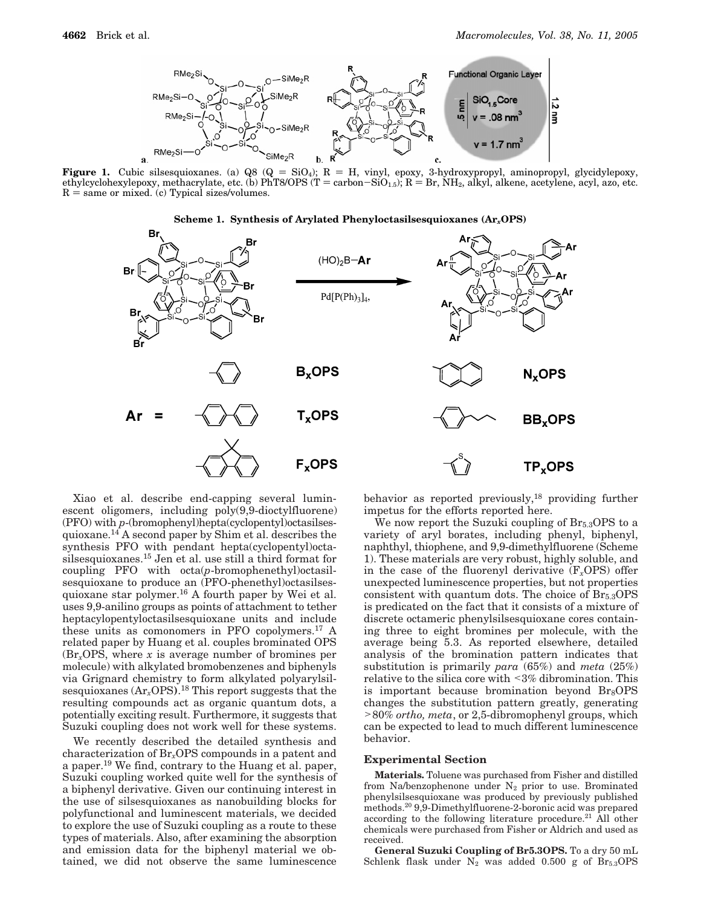

**Figure 1.** Cubic silsesquioxanes. (a) Q8 (Q = SiO<sub>4</sub>); R = H, vinyl, epoxy, 3-hydroxypropyl, aminopropyl, glycidylepoxy, aethylcyclohexylepoxy, methacrylate. etc. (b) PhT8/OPS (T = carbon–SiO<sub>15</sub>): R = Br. NH<sub>2</sub>, alkyl, a ethylcyclohexylepoxy, methacrylate, etc. (b) PhT8/OPS (T = carbon–SiO<sub>1.5</sub>); R = Br, NH<sub>2</sub>, alkyl, alkene, acetylene, acyl, azo, etc.<br>R = same or mixed. (c) Typical sizes/volumes.  $R =$  same or mixed. (c) Typical sizes/volumes.





Xiao et al. describe end-capping several luminescent oligomers, including poly(9,9-dioctylfluorene) (PFO) with *p*-(bromophenyl)hepta(cyclopentyl)octasilsesquioxane.14 A second paper by Shim et al. describes the synthesis PFO with pendant hepta(cyclopentyl)octasilsesquioxanes.15 Jen et al. use still a third format for coupling PFO with octa(*p*-bromophenethyl)octasilsesquioxane to produce an (PFO-phenethyl)octasilsesquioxane star polymer.16 A fourth paper by Wei et al. uses 9,9-anilino groups as points of attachment to tether heptacylopentyloctasilsesquioxane units and include these units as comonomers in PFO copolymers.17 A related paper by Huang et al. couples brominated OPS (Br*x*OPS, where *x* is average number of bromines per molecule) with alkylated bromobenzenes and biphenyls via Grignard chemistry to form alkylated polyarylsilsesquioxanes (Ar*x*OPS**)**. <sup>18</sup> This report suggests that the resulting compounds act as organic quantum dots, a potentially exciting result. Furthermore, it suggests that Suzuki coupling does not work well for these systems.

We recently described the detailed synthesis and characterization of Br*x*OPS compounds in a patent and a paper.19 We find, contrary to the Huang et al. paper, Suzuki coupling worked quite well for the synthesis of a biphenyl derivative. Given our continuing interest in the use of silsesquioxanes as nanobuilding blocks for polyfunctional and luminescent materials, we decided to explore the use of Suzuki coupling as a route to these types of materials. Also, after examining the absorption and emission data for the biphenyl material we obtained, we did not observe the same luminescence

behavior as reported previously, $18$  providing further impetus for the efforts reported here.

We now report the Suzuki coupling of  $Br_{5.3}$  OPS to a variety of aryl borates, including phenyl, biphenyl, naphthyl, thiophene, and 9,9-dimethylfluorene (Scheme 1). These materials are very robust, highly soluble, and in the case of the fluorenyl derivative (F*x*OPS) offer unexpected luminescence properties, but not properties consistent with quantum dots. The choice of  $\text{Br}_{5,3}\text{OPS}$ is predicated on the fact that it consists of a mixture of discrete octameric phenylsilsesquioxane cores containing three to eight bromines per molecule, with the average being 5.3. As reported elsewhere, detailed analysis of the bromination pattern indicates that substitution is primarily *para* (65%) and *meta* (25%) relative to the silica core with <3% dibromination. This is important because bromination beyond  $Br_8$  OPS changes the substitution pattern greatly, generating >80% *ortho, meta*, or 2,5-dibromophenyl groups, which can be expected to lead to much different luminescence behavior.

### **Experimental Section**

**Materials.** Toluene was purchased from Fisher and distilled from Na/benzophenone under  $N_2$  prior to use. Brominated phenylsilsesquioxane was produced by previously published methods.20 9,9-Dimethylfluorene-2-boronic acid was prepared according to the following literature procedure.<sup>21</sup> All other chemicals were purchased from Fisher or Aldrich and used as received.

**General Suzuki Coupling of Br5.3OPS.** To a dry 50 mL Schlenk flask under  $N_2$  was added 0.500 g of Br<sub>5.3</sub>OPS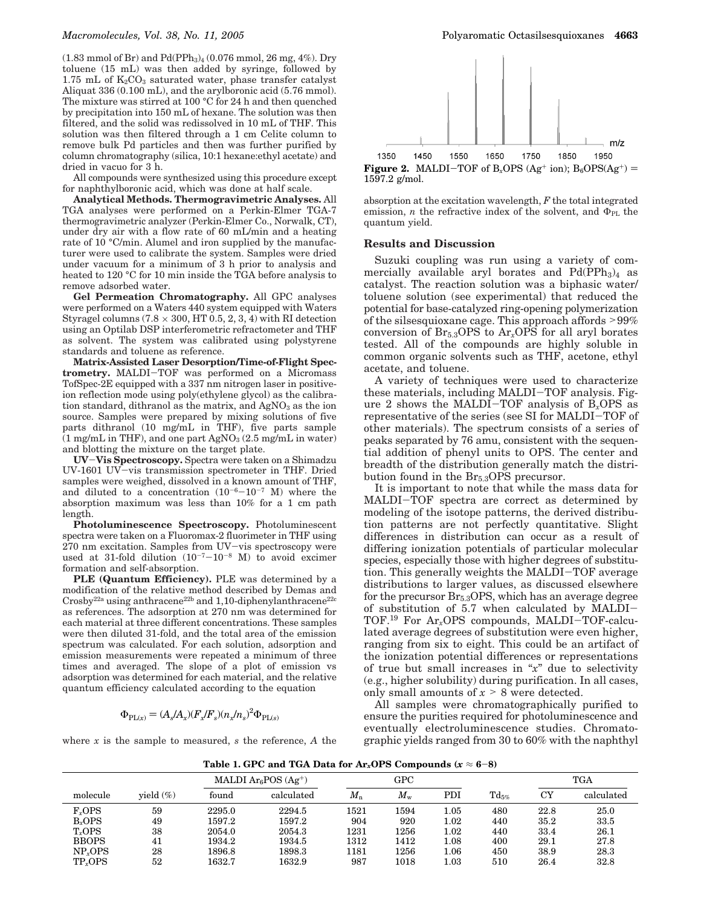$(1.83 \text{ mmol of Br})$  and  $Pd(PPh_3)_4 (0.076 \text{ mmol}, 26 \text{ mg}, 4\%)$ . Dry toluene (15 mL) was then added by syringe, followed by 1.75 mL of  $K_2CO_3$  saturated water, phase transfer catalyst Aliquat 336 (0.100 mL), and the arylboronic acid (5.76 mmol). The mixture was stirred at 100 °C for 24 h and then quenched by precipitation into 150 mL of hexane. The solution was then filtered, and the solid was redissolved in 10 mL of THF. This solution was then filtered through a 1 cm Celite column to remove bulk Pd particles and then was further purified by column chromatography (silica, 10:1 hexane:ethyl acetate) and dried in vacuo for 3 h.

All compounds were synthesized using this procedure except for naphthylboronic acid, which was done at half scale.

**Analytical Methods. Thermogravimetric Analyses.** All TGA analyses were performed on a Perkin-Elmer TGA-7 thermogravimetric analyzer (Perkin-Elmer Co., Norwalk, CT), under dry air with a flow rate of 60 mL/min and a heating rate of 10 °C/min. Alumel and iron supplied by the manufacturer were used to calibrate the system. Samples were dried under vacuum for a minimum of 3 h prior to analysis and heated to 120 °C for 10 min inside the TGA before analysis to remove adsorbed water.

**Gel Permeation Chromatography.** All GPC analyses were performed on a Waters 440 system equipped with Waters Styragel columns (7.8  $\times$  300, HT 0.5, 2, 3, 4) with RI detection using an Optilab DSP interferometric refractometer and THF as solvent. The system was calibrated using polystyrene standards and toluene as reference.

**Matrix-Assisted Laser Desorption/Time-of-Flight Spectrometry.** MALDI-TOF was performed on a Micromass TofSpec-2E equipped with a 337 nm nitrogen laser in positiveion reflection mode using poly(ethylene glycol) as the calibration standard, dithranol as the matrix, and  $AgNO<sub>3</sub>$  as the ion source. Samples were prepared by mixing solutions of five parts dithranol (10 mg/mL in THF), five parts sample  $(1 \text{ mg/mL in THF})$ , and one part  $AgNO<sub>3</sub>(2.5 \text{ mg/mL in water})$ and blotting the mixture on the target plate.

**UV**-**Vis Spectroscopy.** Spectra were taken on a Shimadzu UV-1601 UV-vis transmission spectrometer in THF. Dried samples were weighed, dissolved in a known amount of THF, and diluted to a concentration  $(10^{-6}-10^{-7}$  M) where the absorption maximum was less than 10% for a 1 cm path length.

**Photoluminescence Spectroscopy.** Photoluminescent spectra were taken on a Fluoromax-2 fluorimeter in THF using<br>270 nm excitation. Samples from UV-vis spectroscopy were 270 nm excitation. Samples from UV-vis spectroscopy were<br>used at 31-fold dilution  $(10^{-7}-10^{-8}$  M) to avoid excimer used at 31-fold dilution  $(10^{-7}-10^{-8}$  M) to avoid excimer<br>formation and self-absorption formation and self-absorption.

PLE (Quantum Efficiency). PLE was determined by a modification of the relative method described by Demas and  $C$ rosby<sup>22a</sup> using anthracene<sup>22b</sup> and 1,10-diphenylanthracene<sup>22c</sup> as references. The adsorption at 270 nm was determined for each material at three different concentrations. These samples were then diluted 31-fold, and the total area of the emission spectrum was calculated. For each solution, adsorption and emission measurements were repeated a minimum of three times and averaged. The slope of a plot of emission vs adsorption was determined for each material, and the relative quantum efficiency calculated according to the equation

$$
\Phi_{\text{PL}(x)} = (A_s/A_x)(F_x/F_s)(n_x/n_s)^2 \Phi_{\text{PL}(s)}
$$

where *x* is the sample to measured, *s* the reference, *A* the



absorption at the excitation wavelength, *F* the total integrated emission, *n* the refractive index of the solvent, and  $\Phi_{PL}$  the quantum yield.

#### **Results and Discussion**

Suzuki coupling was run using a variety of commercially available aryl borates and  $Pd(PPh<sub>3</sub>)<sub>4</sub>$  as catalyst. The reaction solution was a biphasic water/ toluene solution (see experimental) that reduced the potential for base-catalyzed ring-opening polymerization of the silsesquioxane cage. This approach affords >99% conversion of  $Br_{5,3}$  OPS to  $Ar_{x}$  OPS for all aryl borates tested. All of the compounds are highly soluble in common organic solvents such as THF, acetone, ethyl acetate, and toluene.

A variety of techniques were used to characterize these materials, including MALDI-TOF analysis. Figure 2 shows the MALDI-TOF analysis of B*x*OPS as representative of the series (see SI for MALDI-TOF of other materials). The spectrum consists of a series of peaks separated by 76 amu, consistent with the sequential addition of phenyl units to OPS. The center and breadth of the distribution generally match the distribution found in the  $Br_{5,3}$ OPS precursor.

It is important to note that while the mass data for MALDI-TOF spectra are correct as determined by modeling of the isotope patterns, the derived distribution patterns are not perfectly quantitative. Slight differences in distribution can occur as a result of differing ionization potentials of particular molecular species, especially those with higher degrees of substitution. This generally weights the MALDI-TOF average distributions to larger values, as discussed elsewhere for the precursor  $Br_{5,3}$ OPS, which has an average degree of substitution of 5.7 when calculated by MALDI-TOF.19 For Ar*x*OPS compounds, MALDI-TOF-calculated average degrees of substitution were even higher, ranging from six to eight. This could be an artifact of the ionization potential differences or representations of true but small increases in "*x*" due to selectivity (e.g., higher solubility) during purification. In all cases, only small amounts of  $x > 8$  were detected.

All samples were chromatographically purified to ensure the purities required for photoluminescence and eventually electroluminescence studies. Chromatographic yields ranged from 30 to 60% with the naphthyl

Table 1. GPC and TGA Data for Ar<sub>*x*</sub>OPS Compounds ( $r \approx 6-8$ )

| Table 1. Of C and Turi Data for $\mathbf{H}_{\mathcal{X}}$ of B compounds $\mathbf{w} \approx \mathbf{0}$ by |              |        |                                |             |                  |            |            |      |            |  |  |
|--------------------------------------------------------------------------------------------------------------|--------------|--------|--------------------------------|-------------|------------------|------------|------------|------|------------|--|--|
|                                                                                                              |              |        | MALDI $\rm{Ar}_{6}POS(Ag^{+})$ | <b>GPC</b>  |                  | <b>TGA</b> |            |      |            |  |  |
| molecule                                                                                                     | vield $(\%)$ | found  | calculated                     | $M_{\rm n}$ | $M_{\mathrm{w}}$ | PDI        | $Td_{5\%}$ | CY   | calculated |  |  |
| $Fr$ OPS                                                                                                     | 59           | 2295.0 | 2294.5                         | 1521        | 1594             | $1.05\,$   | 480        | 22.8 | 25.0       |  |  |
| B <sub>r</sub> OPS                                                                                           | 49           | 1597.2 | 1597.2                         | 904         | 920              | $1.02\,$   | 440        | 35.2 | 33.5       |  |  |
| T <sub>r</sub> OPS                                                                                           | 38           | 2054.0 | 2054.3                         | 1231        | 1256             | $1.02\,$   | 440        | 33.4 | 26.1       |  |  |
| <b>BBOPS</b>                                                                                                 | 41           | 1934.2 | 1934.5                         | 1312        | 1412             | 1.08       | 400        | 29.1 | 27.8       |  |  |
| NP <sub>r</sub> OPS                                                                                          | 28           | 1896.8 | 1898.3                         | 1181        | 1256             | $1.06\,$   | 450        | 38.9 | 28.3       |  |  |
| TP <sub>r</sub> OPS                                                                                          | 52           | 1632.7 | 1632.9                         | 987         | 1018             | $_{1.03}$  | 510        | 26.4 | 32.8       |  |  |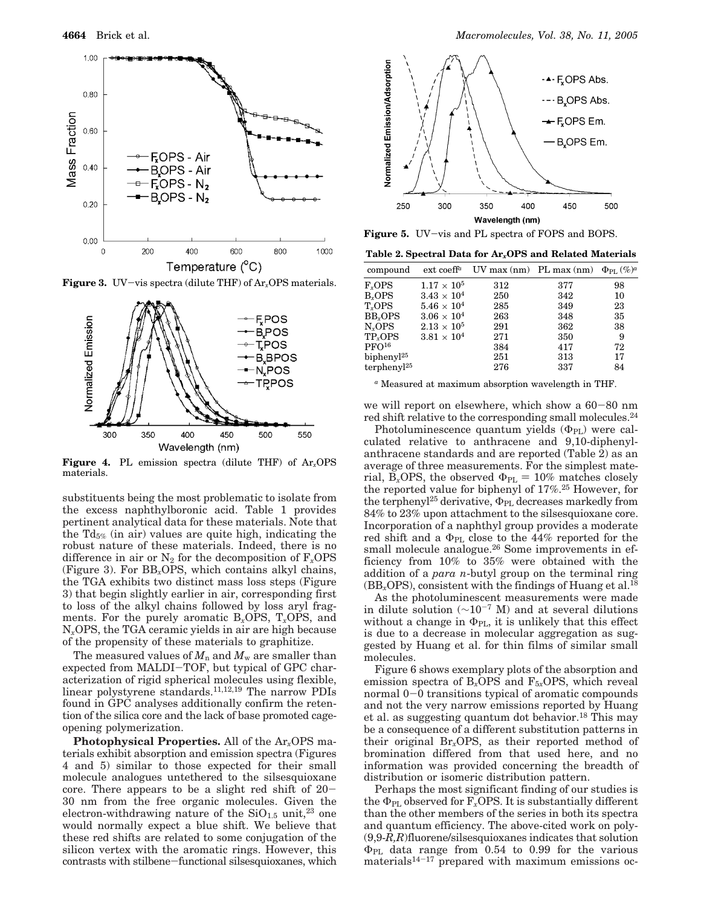

**Figure 3.** UV-vis spectra (dilute THF) of Ar*x*OPS materials.



**Figure 4.** PL emission spectra (dilute THF) of Ar*x*OPS materials.

substituents being the most problematic to isolate from the excess naphthylboronic acid. Table 1 provides pertinent analytical data for these materials. Note that the  $Td_{5\%}$  (in air) values are quite high, indicating the robust nature of these materials. Indeed, there is no difference in air or  $N_2$  for the decomposition of  $F_x$ OPS (Figure 3). For BB*x*OPS, which contains alkyl chains, the TGA exhibits two distinct mass loss steps (Figure 3) that begin slightly earlier in air, corresponding first to loss of the alkyl chains followed by loss aryl fragments. For the purely aromatic B*x*OPS, T*x*OPS, and N*x*OPS, the TGA ceramic yields in air are high because of the propensity of these materials to graphitize.

The measured values of  $M_n$  and  $M_w$  are smaller than expected from MALDI-TOF, but typical of GPC characterization of rigid spherical molecules using flexible, linear polystyrene standards.11,12,19 The narrow PDIs found in GPC analyses additionally confirm the retention of the silica core and the lack of base promoted cageopening polymerization.

**Photophysical Properties.** All of the Ar*x*OPS materials exhibit absorption and emission spectra (Figures 4 and 5) similar to those expected for their small molecule analogues untethered to the silsesquioxane core. There appears to be a slight red shift of 20- 30 nm from the free organic molecules. Given the electron-withdrawing nature of the  $SiO<sub>1.5</sub>$  unit,<sup>23</sup> one would normally expect a blue shift. We believe that these red shifts are related to some conjugation of the silicon vertex with the aromatic rings. However, this contrasts with stilbene-functional silsesquioxanes, which



**Figure 5.** UV-vis and PL spectra of FOPS and BOPS.

**Table 2. Spectral Data for Ar***x***OPS and Related Materials**

| compound                | $ext$ coeff <sup>a</sup> | UV max (nm) PL max (nm) $\Phi_{\text{PL}}(\%)^a$ |     |    |
|-------------------------|--------------------------|--------------------------------------------------|-----|----|
| $F_{r}$ OPS             | $1.17\times10^5$         | 312                                              | 377 | 98 |
| B <sub>r</sub> OPS      | $3.43 \times 10^{4}$     | 250                                              | 342 | 10 |
| T <sub>r</sub> OPS      | $5.46 \times 10^{4}$     | 285                                              | 349 | 23 |
| BB <sub>r</sub> OPS     | $3.06 \times 10^{4}$     | 263                                              | 348 | 35 |
| $N_x$ OPS               | $2.13\times10^5$         | 291                                              | 362 | 38 |
| TP <sub>r</sub> OPS     | $3.81\times10^4$         | 271                                              | 350 | 9  |
| PFO <sup>16</sup>       |                          | 384                                              | 417 | 72 |
| bipheny $l^{25}$        |                          | 251                                              | 313 | 17 |
| terphenyl <sup>25</sup> |                          | 276                                              | 337 | 84 |
|                         |                          |                                                  |     |    |

*<sup>a</sup>* Measured at maximum absorption wavelength in THF.

we will report on elsewhere, which show a 60-80 nm red shift relative to the corresponding small molecules.24

Photoluminescence quantum yields  $(\Phi_{PL})$  were calculated relative to anthracene and 9,10-diphenylanthracene standards and are reported (Table 2) as an average of three measurements. For the simplest material, B<sub>x</sub>OPS, the observed  $\Phi_{PL} = 10\%$  matches closely the reported value for biphenyl of 17%.25 However, for the terphenyl<sup>25</sup> derivative,  $\Phi_{PL}$  decreases markedly from 84% to 23% upon attachment to the silsesquioxane core. Incorporation of a naphthyl group provides a moderate red shift and a  $\Phi_{\text{PL}}$  close to the 44% reported for the small molecule analogue.<sup>26</sup> Some improvements in efficiency from 10% to 35% were obtained with the addition of a *para n*-butyl group on the terminal ring  $(BB_xOPS)$ , consistent with the findings of Huang et al.<sup>18</sup>

As the photoluminescent measurements were made in dilute solution (∼10-<sup>7</sup> M) and at several dilutions without a change in  $\Phi_{PL}$ , it is unlikely that this effect is due to a decrease in molecular aggregation as suggested by Huang et al. for thin films of similar small molecules.

Figure 6 shows exemplary plots of the absorption and emission spectra of  $B_x$ OPS and  $F_{5x}$ OPS, which reveal normal 0-0 transitions typical of aromatic compounds and not the very narrow emissions reported by Huang et al. as suggesting quantum dot behavior.<sup>18</sup> This may be a consequence of a different substitution patterns in their original Br*x*OPS, as their reported method of bromination differed from that used here, and no information was provided concerning the breadth of distribution or isomeric distribution pattern.

Perhaps the most significant finding of our studies is the  $\Phi_{PL}$  observed for  $F_x$ OPS. It is substantially different than the other members of the series in both its spectra and quantum efficiency. The above-cited work on poly- (9,9-*R,R*)fluorene/silsesquioxanes indicates that solution ΦPL data range from 0.54 to 0.99 for the various materials<sup>14-17</sup> prepared with maximum emissions oc